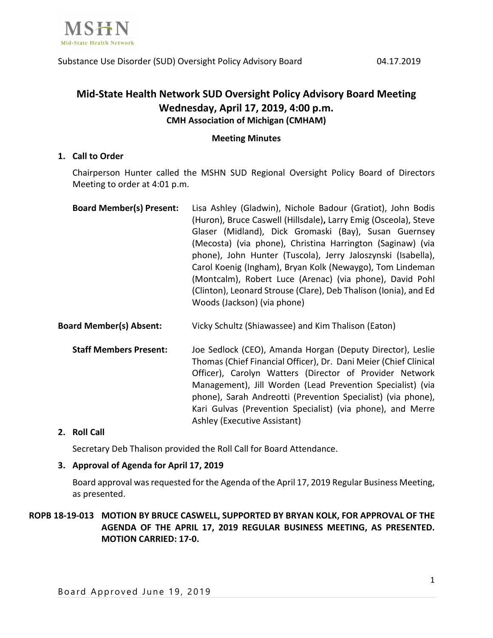

# **Mid-State Health Network SUD Oversight Policy Advisory Board Meeting Wednesday, April 17, 2019, 4:00 p.m. CMH Association of Michigan (CMHAM)**

### **Meeting Minutes**

### **1. Call to Order**

Chairperson Hunter called the MSHN SUD Regional Oversight Policy Board of Directors Meeting to order at 4:01 p.m.

- **Board Member(s) Present:** Lisa Ashley (Gladwin), Nichole Badour (Gratiot), John Bodis (Huron), Bruce Caswell (Hillsdale)**,** Larry Emig (Osceola), Steve Glaser (Midland), Dick Gromaski (Bay), Susan Guernsey (Mecosta) (via phone), Christina Harrington (Saginaw) (via phone), John Hunter (Tuscola), Jerry Jaloszynski (Isabella), Carol Koenig (Ingham), Bryan Kolk (Newaygo), Tom Lindeman (Montcalm), Robert Luce (Arenac) (via phone), David Pohl (Clinton), Leonard Strouse (Clare), Deb Thalison (Ionia), and Ed Woods (Jackson) (via phone)
- **Board Member(s) Absent:** Vicky Schultz (Shiawassee) and Kim Thalison (Eaton)
	- **Staff Members Present:** Joe Sedlock (CEO), Amanda Horgan (Deputy Director), Leslie Thomas (Chief Financial Officer), Dr. Dani Meier (Chief Clinical Officer), Carolyn Watters (Director of Provider Network Management), Jill Worden (Lead Prevention Specialist) (via phone), Sarah Andreotti (Prevention Specialist) (via phone), Kari Gulvas (Prevention Specialist) (via phone), and Merre Ashley (Executive Assistant)

# **2. Roll Call**

Secretary Deb Thalison provided the Roll Call for Board Attendance.

# **3. Approval of Agenda for April 17, 2019**

Board approval was requested for the Agenda of the April 17, 2019 Regular Business Meeting, as presented.

**ROPB 18-19-013 MOTION BY BRUCE CASWELL, SUPPORTED BY BRYAN KOLK, FOR APPROVAL OF THE AGENDA OF THE APRIL 17, 2019 REGULAR BUSINESS MEETING, AS PRESENTED. MOTION CARRIED: 17-0.**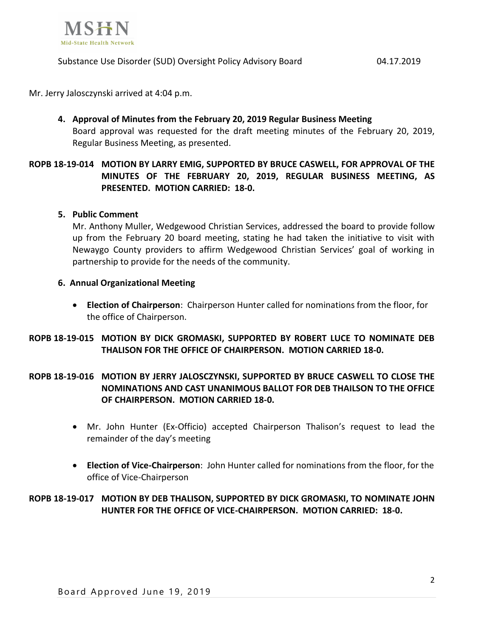

Substance Use Disorder (SUD) Oversight Policy Advisory Board 04.17.2019

Mr. Jerry Jalosczynski arrived at 4:04 p.m.

**4. Approval of Minutes from the February 20, 2019 Regular Business Meeting** Board approval was requested for the draft meeting minutes of the February 20, 2019, Regular Business Meeting, as presented.

# **ROPB 18-19-014 MOTION BY LARRY EMIG, SUPPORTED BY BRUCE CASWELL, FOR APPROVAL OF THE MINUTES OF THE FEBRUARY 20, 2019, REGULAR BUSINESS MEETING, AS PRESENTED. MOTION CARRIED: 18-0.**

# **5. Public Comment**

Mr. Anthony Muller, Wedgewood Christian Services, addressed the board to provide follow up from the February 20 board meeting, stating he had taken the initiative to visit with Newaygo County providers to affirm Wedgewood Christian Services' goal of working in partnership to provide for the needs of the community.

### **6. Annual Organizational Meeting**

• **Election of Chairperson**: Chairperson Hunter called for nominations from the floor, for the office of Chairperson.

# **ROPB 18-19-015 MOTION BY DICK GROMASKI, SUPPORTED BY ROBERT LUCE TO NOMINATE DEB THALISON FOR THE OFFICE OF CHAIRPERSON. MOTION CARRIED 18-0.**

# **ROPB 18-19-016 MOTION BY JERRY JALOSCZYNSKI, SUPPORTED BY BRUCE CASWELL TO CLOSE THE NOMINATIONS AND CAST UNANIMOUS BALLOT FOR DEB THAILSON TO THE OFFICE OF CHAIRPERSON. MOTION CARRIED 18-0.**

- Mr. John Hunter (Ex-Officio) accepted Chairperson Thalison's request to lead the remainder of the day's meeting
- **Election of Vice-Chairperson**: John Hunter called for nominations from the floor, for the office of Vice-Chairperson

# **ROPB 18-19-017 MOTION BY DEB THALISON, SUPPORTED BY DICK GROMASKI, TO NOMINATE JOHN HUNTER FOR THE OFFICE OF VICE-CHAIRPERSON. MOTION CARRIED: 18-0.**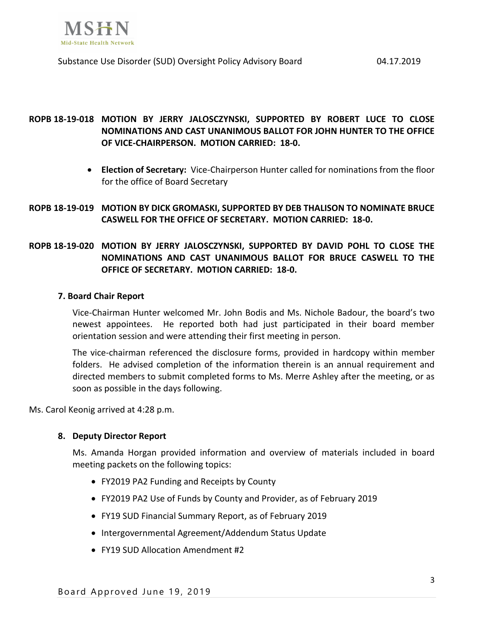

# **ROPB 18-19-018 MOTION BY JERRY JALOSCZYNSKI, SUPPORTED BY ROBERT LUCE TO CLOSE NOMINATIONS AND CAST UNANIMOUS BALLOT FOR JOHN HUNTER TO THE OFFICE OF VICE-CHAIRPERSON. MOTION CARRIED: 18-0.**

- **Election of Secretary:** Vice-Chairperson Hunter called for nominations from the floor for the office of Board Secretary
- **ROPB 18-19-019 MOTION BY DICK GROMASKI, SUPPORTED BY DEB THALISON TO NOMINATE BRUCE CASWELL FOR THE OFFICE OF SECRETARY. MOTION CARRIED: 18-0.**

# **ROPB 18-19-020 MOTION BY JERRY JALOSCZYNSKI, SUPPORTED BY DAVID POHL TO CLOSE THE NOMINATIONS AND CAST UNANIMOUS BALLOT FOR BRUCE CASWELL TO THE OFFICE OF SECRETARY. MOTION CARRIED: 18-0.**

#### **7. Board Chair Report**

Vice-Chairman Hunter welcomed Mr. John Bodis and Ms. Nichole Badour, the board's two newest appointees. He reported both had just participated in their board member orientation session and were attending their first meeting in person.

The vice-chairman referenced the disclosure forms, provided in hardcopy within member folders. He advised completion of the information therein is an annual requirement and directed members to submit completed forms to Ms. Merre Ashley after the meeting, or as soon as possible in the days following.

Ms. Carol Keonig arrived at 4:28 p.m.

#### **8. Deputy Director Report**

Ms. Amanda Horgan provided information and overview of materials included in board meeting packets on the following topics:

- FY2019 PA2 Funding and Receipts by County
- FY2019 PA2 Use of Funds by County and Provider, as of February 2019
- FY19 SUD Financial Summary Report, as of February 2019
- Intergovernmental Agreement/Addendum Status Update
- FY19 SUD Allocation Amendment #2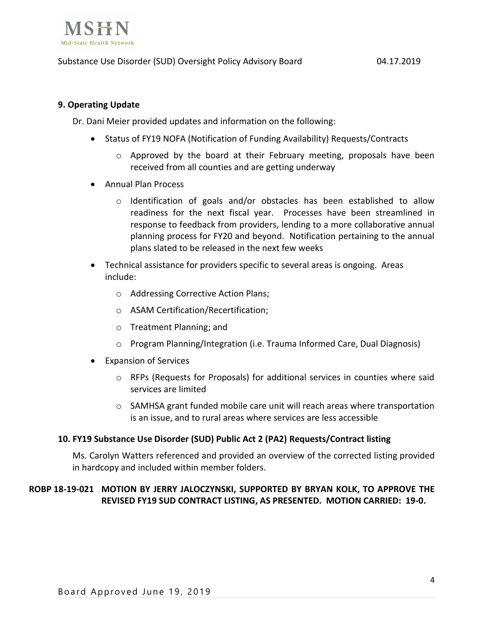

### Substance Use Disorder (SUD) Oversight Policy Advisory Board 04.17.2019

### **9. Operating Update**

Dr. Dani Meier provided updates and information on the following:

- Status of FY19 NOFA (Notification of Funding Availability) Requests/Contracts
	- $\circ$  Approved by the board at their February meeting, proposals have been received from all counties and are getting underway
- Annual Plan Process
	- $\circ$  Identification of goals and/or obstacles has been established to allow readiness for the next fiscal year. Processes have been streamlined in response to feedback from providers, lending to a more collaborative annual planning process for FY20 and beyond. Notification pertaining to the annual plans slated to be released in the next few weeks
- Technical assistance for providers specific to several areas is ongoing. Areas include:
	- o Addressing Corrective Action Plans;
	- o ASAM Certification/Recertification;
	- o Treatment Planning; and
	- o Program Planning/Integration (i.e. Trauma Informed Care, Dual Diagnosis)
- Expansion of Services
	- o RFPs (Requests for Proposals) for additional services in counties where said services are limited
	- $\circ$  SAMHSA grant funded mobile care unit will reach areas where transportation is an issue, and to rural areas where services are less accessible

#### **10. FY19 Substance Use Disorder (SUD) Public Act 2 (PA2) Requests/Contract listing**

Ms. Carolyn Watters referenced and provided an overview of the corrected listing provided in hardcopy and included within member folders.

# **ROBP 18-19-021 MOTION BY JERRY JALOCZYNSKI, SUPPORTED BY BRYAN KOLK, TO APPROVE THE REVISED FY19 SUD CONTRACT LISTING, AS PRESENTED. MOTION CARRIED: 19-0.**